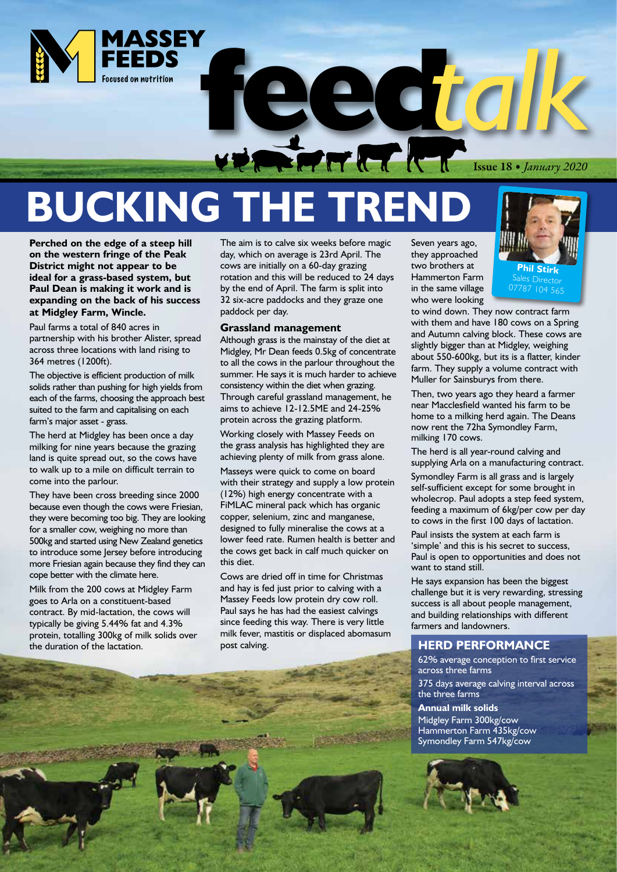

# **BUCKING THE TREND**

**Perched on the edge of a steep hill on the western fringe of the Peak District might not appear to be ideal for a grass-based system, but Paul Dean is making it work and is expanding on the back of his success at Midgley Farm, Wincle.**

Paul farms a total of 840 acres in partnership with his brother Alister, spread across three locations with land rising to 364 metres (1200ft).

The objective is efficient production of milk solids rather than pushing for high yields from each of the farms, choosing the approach best suited to the farm and capitalising on each farm's major asset - grass.

The herd at Midgley has been once a day milking for nine years because the grazing land is quite spread out, so the cows have to walk up to a mile on difficult terrain to come into the parlour.

They have been cross breeding since 2000 because even though the cows were Friesian, they were becoming too big. They are looking for a smaller cow, weighing no more than 500kg and started using New Zealand genetics to introduce some Jersey before introducing more Friesian again because they find they can cope better with the climate here.

Milk from the 200 cows at Midgley Farm goes to Arla on a constituent-based contract. By mid-lactation, the cows will typically be giving 5.44% fat and 4.3% protein, totalling 300kg of milk solids over the duration of the lactation.

The aim is to calve six weeks before magic day, which on average is 23rd April. The cows are initially on a 60-day grazing rotation and this will be reduced to 24 days by the end of April. The farm is split into 32 six-acre paddocks and they graze one paddock per day.

#### **Grassland management**

Although grass is the mainstay of the diet at Midgley, Mr Dean feeds 0.5kg of concentrate to all the cows in the parlour throughout the summer. He says it is much harder to achieve consistency within the diet when grazing. Through careful grassland management, he aims to achieve 12-12.5ME and 24-25% protein across the grazing platform.

Working closely with Massey Feeds on the grass analysis has highlighted they are achieving plenty of milk from grass alone.

Masseys were quick to come on board with their strategy and supply a low protein (12%) high energy concentrate with a FiMLAC mineral pack which has organic copper, selenium, zinc and manganese, designed to fully mineralise the cows at a lower feed rate. Rumen health is better and the cows get back in calf much quicker on this diet.

Cows are dried off in time for Christmas and hay is fed just prior to calving with a Massey Feeds low protein dry cow roll. Paul says he has had the easiest calvings since feeding this way. There is very little milk fever, mastitis or displaced abomasum post calving.

Seven years ago, they approached two brothers at Hammerton Farm in the same village who were looking



to wind down. They now contract farm with them and have 180 cows on a Spring and Autumn calving block. These cows are slightly bigger than at Midgley, weighing about 550-600kg, but its is a flatter, kinder farm. They supply a volume contract with Muller for Sainsburys from there.

Then, two years ago they heard a farmer near Macclesfield wanted his farm to be home to a milking herd again. The Deans now rent the 72ha Symondley Farm, milking 170 cows.

The herd is all year-round calving and supplying Arla on a manufacturing contract.

Symondley Farm is all grass and is largely self-sufficient except for some brought in wholecrop. Paul adopts a step feed system, feeding a maximum of 6kg/per cow per day to cows in the first 100 days of lactation.

Paul insists the system at each farm is 'simple' and this is his secret to success, Paul is open to opportunities and does not want to stand still.

He says expansion has been the biggest challenge but it is very rewarding, stressing success is all about people management, and building relationships with different farmers and landowners.

#### **HERD PERFORMANCE**

62% average conception to first service across three farms

375 days average calving interval across the three farms

**Annual milk solids** Midgley Farm 300kg/cow Hammerton Farm 435kg/cow Symondley Farm 547kg/cow



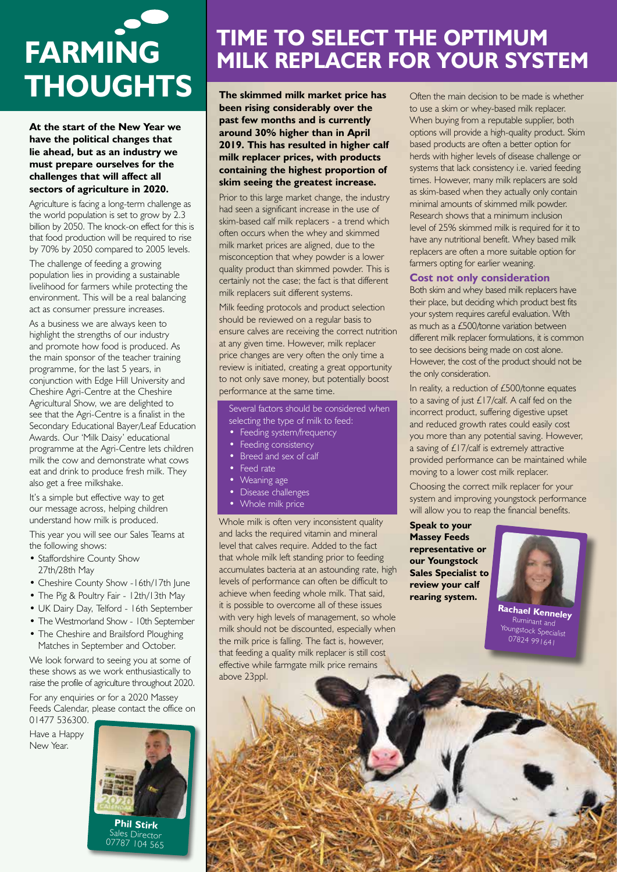# **FARMING THOUGHTS** The skimmed milk market price has Often the main decision to be made is whether

**At the start of the New Year we have the political changes that lie ahead, but as an industry we must prepare ourselves for the challenges that will affect all sectors of agriculture in 2020.** 

Agriculture is facing a long-term challenge as the world population is set to grow by 2.3 billion by 2050. The knock-on effect for this is that food production will be required to rise by 70% by 2050 compared to 2005 levels.

The challenge of feeding a growing population lies in providing a sustainable livelihood for farmers while protecting the environment. This will be a real balancing act as consumer pressure increases.

As a business we are always keen to highlight the strengths of our industry and promote how food is produced. As the main sponsor of the teacher training programme, for the last 5 years, in conjunction with Edge Hill University and Cheshire Agri-Centre at the Cheshire Agricultural Show, we are delighted to see that the Agri-Centre is a finalist in the Secondary Educational Bayer/Leaf Education Awards. Our 'Milk Daisy' educational programme at the Agri-Centre lets children milk the cow and demonstrate what cows eat and drink to produce fresh milk. They also get a free milkshake.

It's a simple but effective way to get our message across, helping children understand how milk is produced.

This year you will see our Sales Teams at the following shows:

- Staffordshire County Show 27th/28th May
- Cheshire County Show -16th/17th June
- The Pig & Poultry Fair 12th/13th May
- UK Dairy Day, Telford 16th September
- The Westmorland Show 10th September
- The Cheshire and Brailsford Ploughing Matches in September and October.

We look forward to seeing you at some of these shows as we work enthusiastically to raise the profile of agriculture throughout 2020. For any enquiries or for a 2020 Massey Feeds Calendar, please contact the office on 01477 536300.

Have a Happy New Year.



### **TIME TO SELECT THE OPTIMUM MILK REPLACER FOR YOUR SYSTEM**

**The skimmed milk market price has been rising considerably over the past few months and is currently around 30% higher than in April 2019. This has resulted in higher calf milk replacer prices, with products containing the highest proportion of skim seeing the greatest increase.**

Prior to this large market change, the industry had seen a significant increase in the use of skim-based calf milk replacers - a trend which often occurs when the whey and skimmed milk market prices are aligned, due to the misconception that whey powder is a lower quality product than skimmed powder. This is certainly not the case; the fact is that different milk replacers suit different systems.

Milk feeding protocols and product selection should be reviewed on a regular basis to ensure calves are receiving the correct nutrition at any given time. However, milk replacer price changes are very often the only time a review is initiated, creating a great opportunity to not only save money, but potentially boost performance at the same time.

Several factors should be considered when selecting the type of milk to feed:

- Feeding system/frequency
- Feeding consistency
- Breed and sex of calf
- Feed rate
- Weaning age
- Disease challenges
- Whole milk price

Whole milk is often very inconsistent quality and lacks the required vitamin and mineral level that calves require. Added to the fact that whole milk left standing prior to feeding accumulates bacteria at an astounding rate, high levels of performance can often be difficult to achieve when feeding whole milk. That said, it is possible to overcome all of these issues with very high levels of management, so whole milk should not be discounted, especially when the milk price is falling. The fact is, however, that feeding a quality milk replacer is still cost effective while farmgate milk price remains above 23ppl.

to use a skim or whey-based milk replacer. When buying from a reputable supplier, both options will provide a high-quality product. Skim based products are often a better option for herds with higher levels of disease challenge or systems that lack consistency i.e. varied feeding times. However, many milk replacers are sold as skim-based when they actually only contain minimal amounts of skimmed milk powder. Research shows that a minimum inclusion level of 25% skimmed milk is required for it to have any nutritional benefit. Whey based milk replacers are often a more suitable option for farmers opting for earlier weaning.

#### **Cost not only consideration**

Both skim and whey based milk replacers have their place, but deciding which product best fits your system requires careful evaluation. With as much as a £500/tonne variation between different milk replacer formulations, it is common to see decisions being made on cost alone. However, the cost of the product should not be the only consideration.

In reality, a reduction of £500/tonne equates to a saving of just £17/calf. A calf fed on the incorrect product, suffering digestive upset and reduced growth rates could easily cost you more than any potential saving. However, a saving of £17/calf is extremely attractive provided performance can be maintained while moving to a lower cost milk replacer.

Choosing the correct milk replacer for your system and improving youngstock performance will allow you to reap the financial benefits.

**Speak to your Massey Feeds representative or our Youngstock Sales Specialist to review your calf rearing system.** 



**Rachael Kenneley** Youngstock Specialist 07824 991641

Sales Director 07787 104 565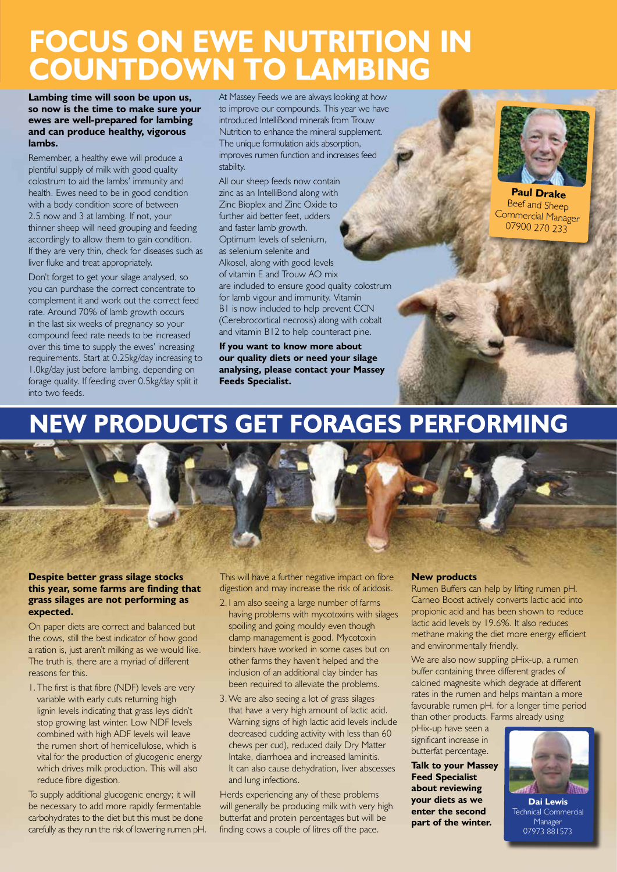### **FOCUS ON EWE NUTRITION IN COUNTDOWN TO LAMBING**

**Lambing time will soon be upon us, so now is the time to make sure your ewes are well-prepared for lambing and can produce healthy, vigorous lambs.** 

Remember, a healthy ewe will produce a plentiful supply of milk with good quality colostrum to aid the lambs' immunity and health. Ewes need to be in good condition with a body condition score of between 2.5 now and 3 at lambing. If not, your thinner sheep will need grouping and feeding accordingly to allow them to gain condition. If they are very thin, check for diseases such as liver fluke and treat appropriately.

Don't forget to get your silage analysed, so you can purchase the correct concentrate to complement it and work out the correct feed rate. Around 70% of lamb growth occurs in the last six weeks of pregnancy so your compound feed rate needs to be increased over this time to supply the ewes' increasing requirements. Start at 0.25kg/day increasing to 1.0kg/day just before lambing. depending on forage quality. If feeding over 0.5kg/day split it into two feeds.

At Massey Feeds we are always looking at how to improve our compounds. This year we have introduced IntelliBond minerals from Trouw Nutrition to enhance the mineral supplement. The unique formulation aids absorption, improves rumen function and increases feed stability.

All our sheep feeds now contain zinc as an IntelliBond along with Zinc Bioplex and Zinc Oxide to further aid better feet, udders and faster lamb growth. Optimum levels of selenium, as selenium selenite and Alkosel, along with good levels of vitamin E and Trouw AO mix are included to ensure good quality colostrum for lamb vigour and immunity. Vitamin B1 is now included to help prevent CCN (Cerebrocortical necrosis) along with cobalt and vitamin B12 to help counteract pine.

**If you want to know more about our quality diets or need your silage analysing, please contact your Massey Feeds Specialist.**



**Paul Drake** Beef and Sheep Commercial Manager 07900 270 233

### **NEW PRODUCTS GET FORAGES PERFORMING**



On paper diets are correct and balanced but the cows, still the best indicator of how good a ration is, just aren't milking as we would like. The truth is, there are a myriad of different reasons for this.

1. The first is that fibre (NDF) levels are very variable with early cuts returning high lignin levels indicating that grass leys didn't stop growing last winter. Low NDF levels combined with high ADF levels will leave the rumen short of hemicellulose, which is vital for the production of glucogenic energy which drives milk production. This will also reduce fibre digestion.

To supply additional glucogenic energy; it will be necessary to add more rapidly fermentable carbohydrates to the diet but this must be done carefully as they run the risk of lowering rumen pH. This will have a further negative impact on fibre digestion and may increase the risk of acidosis.

- 2. I am also seeing a large number of farms having problems with mycotoxins with silages spoiling and going mouldy even though clamp management is good. Mycotoxin binders have worked in some cases but on other farms they haven't helped and the inclusion of an additional clay binder has been required to alleviate the problems.
- 3.We are also seeing a lot of grass silages that have a very high amount of lactic acid. Warning signs of high lactic acid levels include decreased cudding activity with less than 60 chews per cud), reduced daily Dry Matter Intake, diarrhoea and increased laminitis. It can also cause dehydration, liver abscesses and lung infections.

Herds experiencing any of these problems will generally be producing milk with very high butterfat and protein percentages but will be finding cows a couple of litres off the pace.

#### **New products**

Rumen Buffers can help by lifting rumen pH. Carneo Boost actively converts lactic acid into propionic acid and has been shown to reduce lactic acid levels by 19.6%. It also reduces methane making the diet more energy efficient and environmentally friendly.

We are also now suppling pHix-up, a rumen buffer containing three different grades of calcined magnesite which degrade at different rates in the rumen and helps maintain a more favourable rumen pH. for a longer time period than other products. Farms already using

pHix-up have seen a significant increase in butterfat percentage.

**Talk to your Massey Feed Specialist about reviewing your diets as we enter the second part of the winter.**



**Dai Lewis** Technical Commercial Manager 07973 881573